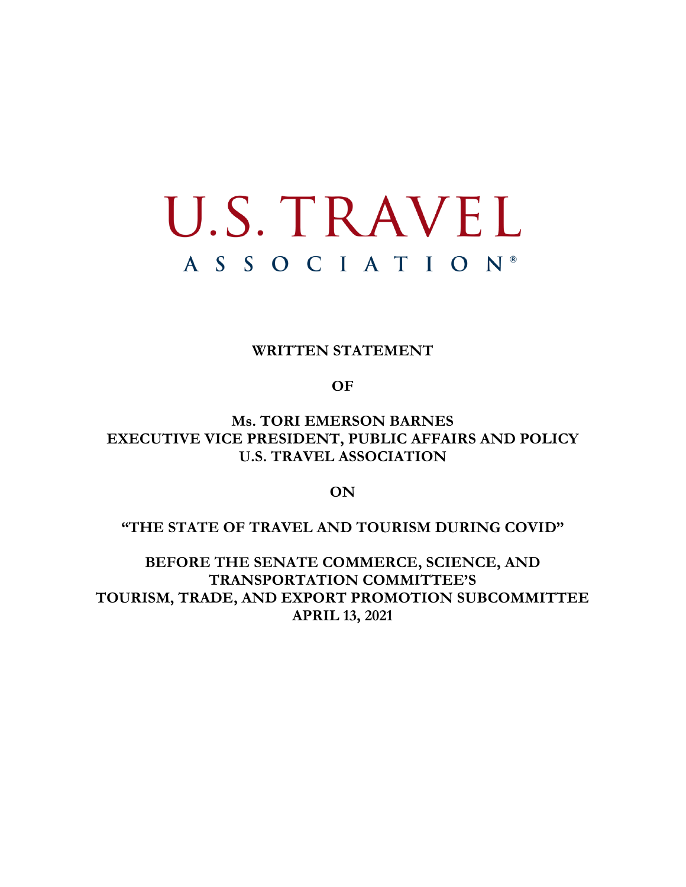# U.S. TRAVEL A S S O C I A T I O N<sup>®</sup>

#### **WRITTEN STATEMENT**

**OF**

**Ms. TORI EMERSON BARNES EXECUTIVE VICE PRESIDENT, PUBLIC AFFAIRS AND POLICY U.S. TRAVEL ASSOCIATION** 

**ON**

**"THE STATE OF TRAVEL AND TOURISM DURING COVID"**

**BEFORE THE SENATE COMMERCE, SCIENCE, AND TRANSPORTATION COMMITTEE'S TOURISM, TRADE, AND EXPORT PROMOTION SUBCOMMITTEE APRIL 13, 2021**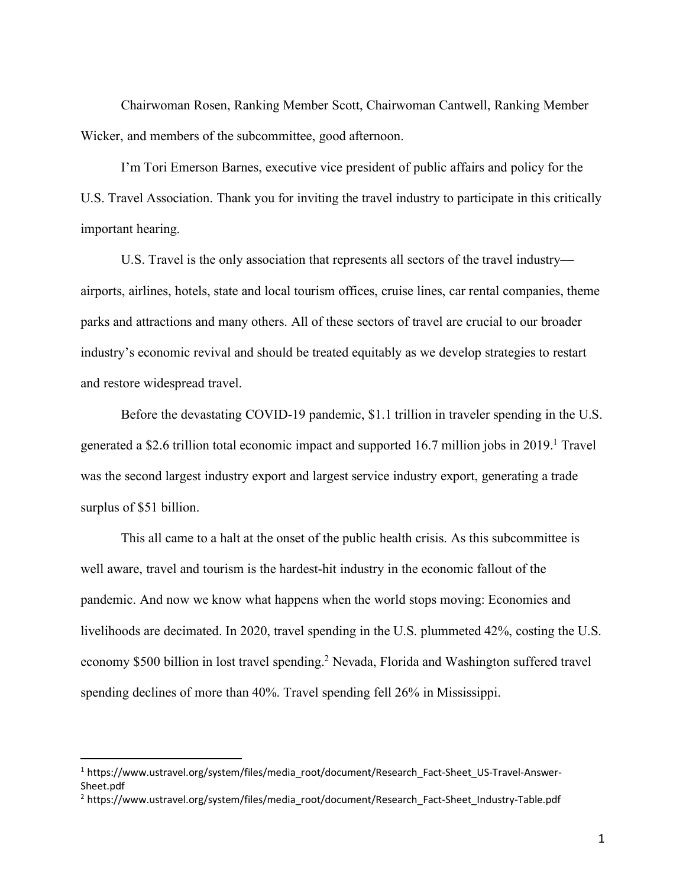Chairwoman Rosen, Ranking Member Scott, Chairwoman Cantwell, Ranking Member Wicker, and members of the subcommittee, good afternoon.

I'm Tori Emerson Barnes, executive vice president of public affairs and policy for the U.S. Travel Association. Thank you for inviting the travel industry to participate in this critically important hearing.

U.S. Travel is the only association that represents all sectors of the travel industry airports, airlines, hotels, state and local tourism offices, cruise lines, car rental companies, theme parks and attractions and many others. All of these sectors of travel are crucial to our broader industry's economic revival and should be treated equitably as we develop strategies to restart and restore widespread travel.

Before the devastating COVID-19 pandemic, \$1.1 trillion in traveler spending in the U.S. generated a \$2.6 trillion total economic impact and supported 16.7 million jobs in 2019.<sup>1</sup> Travel was the second largest industry export and largest service industry export, generating a trade surplus of \$51 billion.

This all came to a halt at the onset of the public health crisis. As this subcommittee is well aware, travel and tourism is the hardest-hit industry in the economic fallout of the pandemic. And now we know what happens when the world stops moving: Economies and livelihoods are decimated. In 2020, travel spending in the U.S. plummeted 42%, costing the U.S. economy \$500 billion in lost travel spending.2 Nevada, Florida and Washington suffered travel spending declines of more than 40%. Travel spending fell 26% in Mississippi.

<sup>&</sup>lt;sup>1</sup> https://www.ustravel.org/system/files/media\_root/document/Research\_Fact-Sheet\_US-Travel-Answer-Sheet.pdf

<sup>&</sup>lt;sup>2</sup> https://www.ustravel.org/system/files/media\_root/document/Research\_Fact-Sheet\_Industry-Table.pdf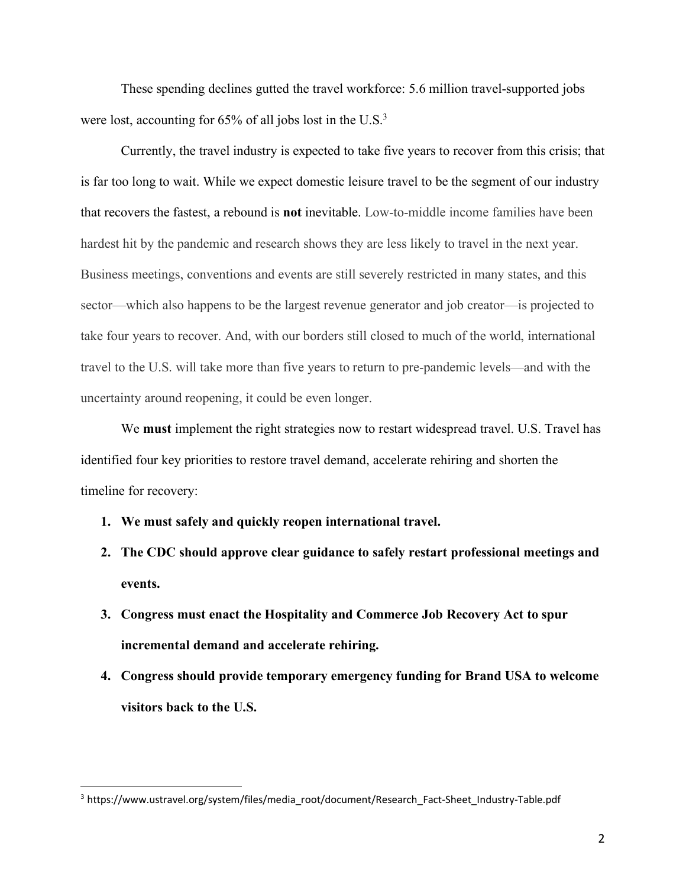These spending declines gutted the travel workforce: 5.6 million travel-supported jobs were lost, accounting for  $65\%$  of all jobs lost in the U.S.<sup>3</sup>

Currently, the travel industry is expected to take five years to recover from this crisis; that is far too long to wait. While we expect domestic leisure travel to be the segment of our industry that recovers the fastest, a rebound is **not** inevitable. Low-to-middle income families have been hardest hit by the pandemic and research shows they are less likely to travel in the next year. Business meetings, conventions and events are still severely restricted in many states, and this sector—which also happens to be the largest revenue generator and job creator—is projected to take four years to recover. And, with our borders still closed to much of the world, international travel to the U.S. will take more than five years to return to pre-pandemic levels—and with the uncertainty around reopening, it could be even longer.

We **must** implement the right strategies now to restart widespread travel. U.S. Travel has identified four key priorities to restore travel demand, accelerate rehiring and shorten the timeline for recovery:

- **1. We must safely and quickly reopen international travel.**
- **2. The CDC should approve clear guidance to safely restart professional meetings and events.**
- **3. Congress must enact the Hospitality and Commerce Job Recovery Act to spur incremental demand and accelerate rehiring.**
- **4. Congress should provide temporary emergency funding for Brand USA to welcome visitors back to the U.S.**

<sup>&</sup>lt;sup>3</sup> https://www.ustravel.org/system/files/media\_root/document/Research\_Fact-Sheet\_Industry-Table.pdf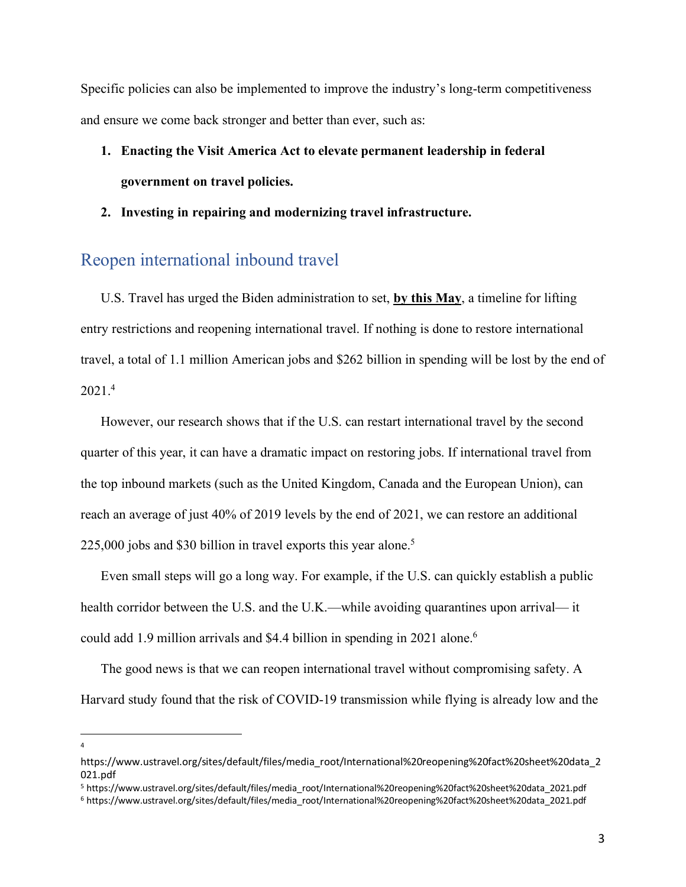Specific policies can also be implemented to improve the industry's long-term competitiveness and ensure we come back stronger and better than ever, such as:

## **1. Enacting the Visit America Act to elevate permanent leadership in federal government on travel policies.**

#### **2. Investing in repairing and modernizing travel infrastructure.**

#### Reopen international inbound travel

U.S. Travel has urged the Biden administration to set, **by this May**, a timeline for lifting entry restrictions and reopening international travel. If nothing is done to restore international travel, a total of 1.1 million American jobs and \$262 billion in spending will be lost by the end of 2021.4

However, our research shows that if the U.S. can restart international travel by the second quarter of this year, it can have a dramatic impact on restoring jobs. If international travel from the top inbound markets (such as the United Kingdom, Canada and the European Union), can reach an average of just 40% of 2019 levels by the end of 2021, we can restore an additional 225,000 jobs and \$30 billion in travel exports this year alone.<sup>5</sup>

Even small steps will go a long way. For example, if the U.S. can quickly establish a public health corridor between the U.S. and the U.K.—while avoiding quarantines upon arrival— it could add 1.9 million arrivals and \$4.4 billion in spending in 2021 alone.<sup>6</sup>

The good news is that we can reopen international travel without compromising safety. A Harvard study found that the risk of COVID-19 transmission while flying is already low and the

 $\frac{1}{4}$  $\overline{a}$ 

https://www.ustravel.org/sites/default/files/media\_root/International%20reopening%20fact%20sheet%20data\_2 021.pdf

<sup>5</sup> https://www.ustravel.org/sites/default/files/media\_root/International%20reopening%20fact%20sheet%20data\_2021.pdf

<sup>6</sup> https://www.ustravel.org/sites/default/files/media\_root/International%20reopening%20fact%20sheet%20data\_2021.pdf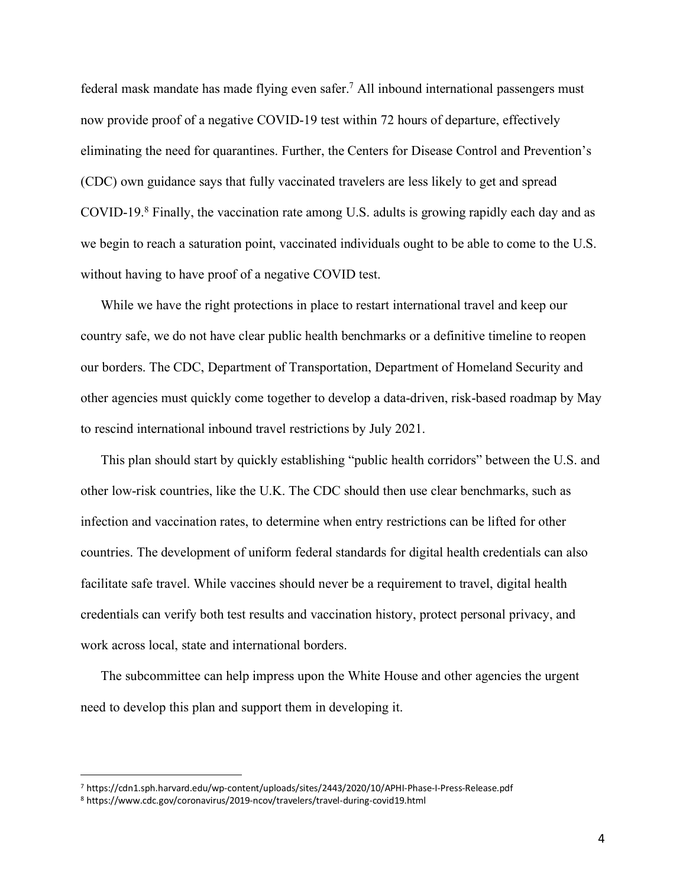federal mask mandate has made flying even safer. <sup>7</sup> All inbound international passengers must now provide proof of a negative COVID-19 test within 72 hours of departure, effectively eliminating the need for quarantines. Further, the Centers for Disease Control and Prevention's (CDC) own guidance says that fully vaccinated travelers are less likely to get and spread COVID-19. <sup>8</sup> Finally, the vaccination rate among U.S. adults is growing rapidly each day and as we begin to reach a saturation point, vaccinated individuals ought to be able to come to the U.S. without having to have proof of a negative COVID test.

While we have the right protections in place to restart international travel and keep our country safe, we do not have clear public health benchmarks or a definitive timeline to reopen our borders. The CDC, Department of Transportation, Department of Homeland Security and other agencies must quickly come together to develop a data-driven, risk-based roadmap by May to rescind international inbound travel restrictions by July 2021.

This plan should start by quickly establishing "public health corridors" between the U.S. and other low-risk countries, like the U.K. The CDC should then use clear benchmarks, such as infection and vaccination rates, to determine when entry restrictions can be lifted for other countries. The development of uniform federal standards for digital health credentials can also facilitate safe travel. While vaccines should never be a requirement to travel, digital health credentials can verify both test results and vaccination history, protect personal privacy, and work across local, state and international borders.

The subcommittee can help impress upon the White House and other agencies the urgent need to develop this plan and support them in developing it.

 <sup>7</sup> https://cdn1.sph.harvard.edu/wp-content/uploads/sites/2443/2020/10/APHI-Phase-I-Press-Release.pdf

<sup>8</sup> https://www.cdc.gov/coronavirus/2019-ncov/travelers/travel-during-covid19.html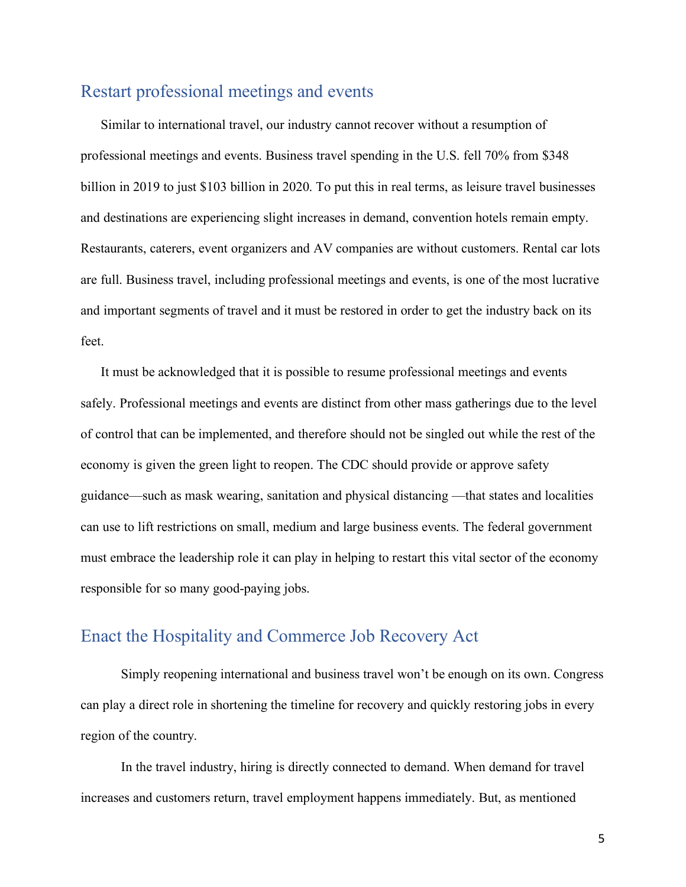## Restart professional meetings and events

Similar to international travel, our industry cannot recover without a resumption of professional meetings and events. Business travel spending in the U.S. fell 70% from \$348 billion in 2019 to just \$103 billion in 2020. To put this in real terms, as leisure travel businesses and destinations are experiencing slight increases in demand, convention hotels remain empty. Restaurants, caterers, event organizers and AV companies are without customers. Rental car lots are full. Business travel, including professional meetings and events, is one of the most lucrative and important segments of travel and it must be restored in order to get the industry back on its feet.

It must be acknowledged that it is possible to resume professional meetings and events safely. Professional meetings and events are distinct from other mass gatherings due to the level of control that can be implemented, and therefore should not be singled out while the rest of the economy is given the green light to reopen. The CDC should provide or approve safety guidance—such as mask wearing, sanitation and physical distancing —that states and localities can use to lift restrictions on small, medium and large business events. The federal government must embrace the leadership role it can play in helping to restart this vital sector of the economy responsible for so many good-paying jobs.

### Enact the Hospitality and Commerce Job Recovery Act

Simply reopening international and business travel won't be enough on its own. Congress can play a direct role in shortening the timeline for recovery and quickly restoring jobs in every region of the country.

In the travel industry, hiring is directly connected to demand. When demand for travel increases and customers return, travel employment happens immediately. But, as mentioned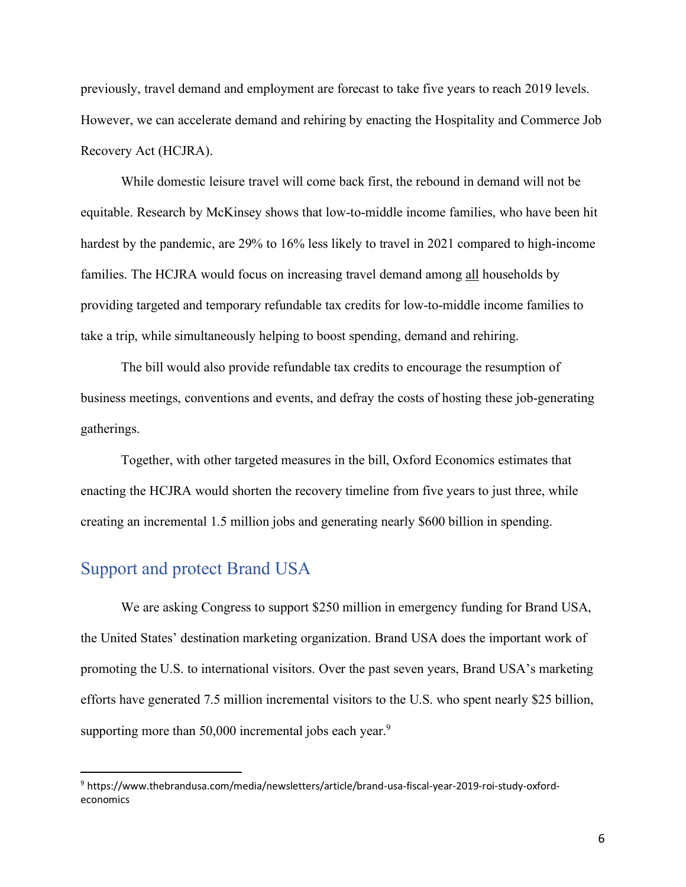previously, travel demand and employment are forecast to take five years to reach 2019 levels. However, we can accelerate demand and rehiring by enacting the Hospitality and Commerce Job Recovery Act (HCJRA).

While domestic leisure travel will come back first, the rebound in demand will not be equitable. Research by McKinsey shows that low-to-middle income families, who have been hit hardest by the pandemic, are 29% to 16% less likely to travel in 2021 compared to high-income families. The HCJRA would focus on increasing travel demand among all households by providing targeted and temporary refundable tax credits for low-to-middle income families to take a trip, while simultaneously helping to boost spending, demand and rehiring.

The bill would also provide refundable tax credits to encourage the resumption of business meetings, conventions and events, and defray the costs of hosting these job-generating gatherings.

Together, with other targeted measures in the bill, Oxford Economics estimates that enacting the HCJRA would shorten the recovery timeline from five years to just three, while creating an incremental 1.5 million jobs and generating nearly \$600 billion in spending.

### Support and protect Brand USA

We are asking Congress to support \$250 million in emergency funding for Brand USA, the United States' destination marketing organization. Brand USA does the important work of promoting the U.S. to international visitors. Over the past seven years, Brand USA's marketing efforts have generated 7.5 million incremental visitors to the U.S. who spent nearly \$25 billion, supporting more than 50,000 incremental jobs each year.<sup>9</sup>

 <sup>9</sup> https://www.thebrandusa.com/media/newsletters/article/brand-usa-fiscal-year-2019-roi-study-oxfordeconomics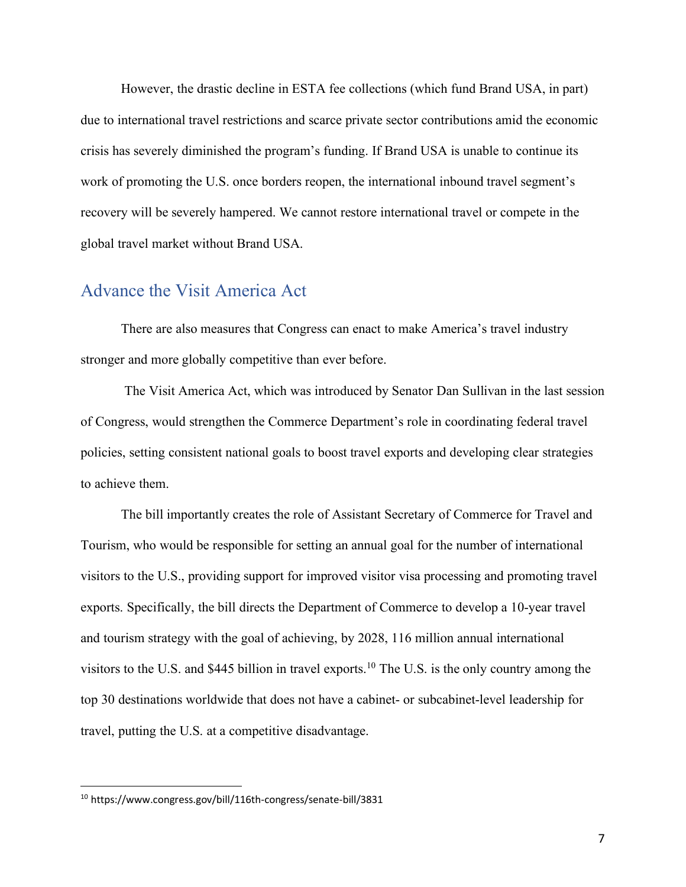However, the drastic decline in ESTA fee collections (which fund Brand USA, in part) due to international travel restrictions and scarce private sector contributions amid the economic crisis has severely diminished the program's funding. If Brand USA is unable to continue its work of promoting the U.S. once borders reopen, the international inbound travel segment's recovery will be severely hampered. We cannot restore international travel or compete in the global travel market without Brand USA.

#### Advance the Visit America Act

There are also measures that Congress can enact to make America's travel industry stronger and more globally competitive than ever before.

The Visit America Act, which was introduced by Senator Dan Sullivan in the last session of Congress, would strengthen the Commerce Department's role in coordinating federal travel policies, setting consistent national goals to boost travel exports and developing clear strategies to achieve them.

The bill importantly creates the role of Assistant Secretary of Commerce for Travel and Tourism, who would be responsible for setting an annual goal for the number of international visitors to the U.S., providing support for improved visitor visa processing and promoting travel exports. Specifically, the bill directs the Department of Commerce to develop a 10-year travel and tourism strategy with the goal of achieving, by 2028, 116 million annual international visitors to the U.S. and \$445 billion in travel exports.<sup>10</sup> The U.S. is the only country among the top 30 destinations worldwide that does not have a cabinet- or subcabinet-level leadership for travel, putting the U.S. at a competitive disadvantage.

 <sup>10</sup> https://www.congress.gov/bill/116th-congress/senate-bill/3831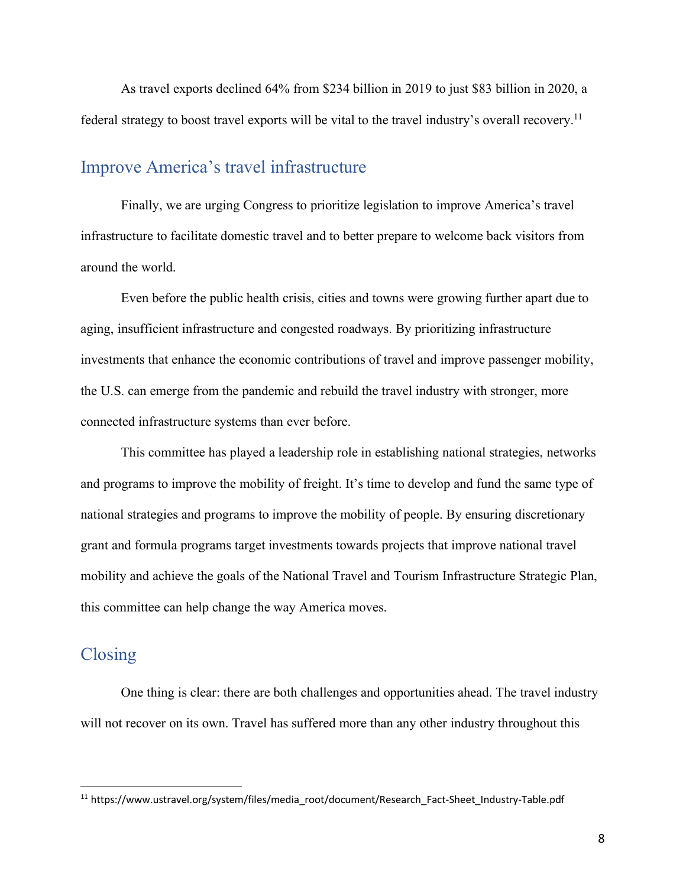As travel exports declined 64% from \$234 billion in 2019 to just \$83 billion in 2020, a federal strategy to boost travel exports will be vital to the travel industry's overall recovery.<sup>11</sup>

### Improve America's travel infrastructure

Finally, we are urging Congress to prioritize legislation to improve America's travel infrastructure to facilitate domestic travel and to better prepare to welcome back visitors from around the world.

Even before the public health crisis, cities and towns were growing further apart due to aging, insufficient infrastructure and congested roadways. By prioritizing infrastructure investments that enhance the economic contributions of travel and improve passenger mobility, the U.S. can emerge from the pandemic and rebuild the travel industry with stronger, more connected infrastructure systems than ever before.

This committee has played a leadership role in establishing national strategies, networks and programs to improve the mobility of freight. It's time to develop and fund the same type of national strategies and programs to improve the mobility of people. By ensuring discretionary grant and formula programs target investments towards projects that improve national travel mobility and achieve the goals of the National Travel and Tourism Infrastructure Strategic Plan, this committee can help change the way America moves.

### Closing

One thing is clear: there are both challenges and opportunities ahead. The travel industry will not recover on its own. Travel has suffered more than any other industry throughout this

<sup>&</sup>lt;sup>11</sup> https://www.ustravel.org/system/files/media\_root/document/Research\_Fact-Sheet\_Industry-Table.pdf